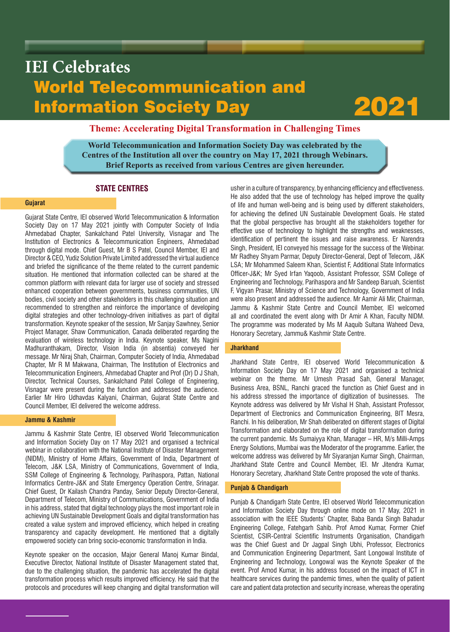# World Telecommunication and Information Society Day **IEI Celebrates**



# **Theme: Accelerating Digital Transformation in Challenging Times**

**World Telecommunication and Information Society Day was celebrated by the Centres of the Institution all over the country on May 17, 2021 through Webinars. Brief Reports as received from various Centres are given hereunder.**

# **STATE CENTRES**

# **Gujarat**

Gujarat State Centre, IEI observed World Telecommunication & Information Society Day on 17 May 2021 jointly with Computer Society of India Ahmedabad Chapter, Sankalchand Patel University, Visnagar and The Institution of Electronics & Telecommunication Engineers, Ahmedabad through digital mode. Chief Guest, Mr B S Patel, Council Member, IEI and Director & CEO, Yudiz Solution Private Limited addressed the virtual audience and briefed the significance of the theme related to the current pandemic situation. He mentioned that information collected can be shared at the common platform with relevant data for larger use of society and stressed enhanced cooperation between governments, business communities, UN bodies, civil society and other stakeholders in this challenging situation and recommended to strengthen and reinforce the importance of developing digital strategies and other technology-driven initiatives as part of digital transformation. Keynote speaker of the session, Mr Sanjay Sawhney, Senior Project Manager, Shaw Communication, Canada deliberated regarding the evaluation of wireless technology in India. Keynote speaker, Ms Nagini Madhuranthakam, Director, Vision India (in absentia) conveyed her message. Mr Niraj Shah, Chairman, Computer Society of India, Ahmedabad Chapter, Mr R M Makwana, Chairman, The Institution of Electronics and Telecommunication Engineers, Ahmedabad Chapter and Prof (Dr) D J Shah, Director, Technical Courses, Sankalchand Patel College of Engineering, Visnagar were present during the function and addressed the audience. Earlier Mr Hiro Udhavdas Kalyani, Chairman, Gujarat State Centre and Council Member, IEI delivered the welcome address.

## **Jammu & Kashmir**

Jammu & Kashmir State Centre, IEI observed World Telecommunication and Information Society Day on 17 May 2021 and organised a technical webinar in collaboration with the National Institute of Disaster Management (NIDM), Ministry of Home Affairs, Government of India, Department of Telecom, J&K LSA, Ministry of Communications, Government of India, SSM College of Engineering & Technology, Parihaspora, Pattan, National Informatics Centre-J&K and State Emergency Operation Centre, Srinagar. Chief Guest, Dr Kailash Chandra Panday, Senior Deputy Director-General, Department of Telecom, Ministry of Communications, Government of India in his address, stated that digital technology plays the most important role in achieving UN Sustainable Development Goals and digital transformation has created a value system and improved efficiency, which helped in creating transparency and capacity development. He mentioned that a digitally empowered society can bring socio-economic transformation in India.

Keynote speaker on the occasion, Major General Manoj Kumar Bindal, Executive Director, National Institute of Disaster Management stated that, due to the challenging situation, the pandemic has accelerated the digital transformation process which results improved efficiency. He said that the protocols and procedures will keep changing and digital transformation will usher in a culture of transparency, by enhancing efficiency and effectiveness. He also added that the use of technology has helped improve the quality of life and human well-being and is being used by different stakeholders, for achieving the defined UN Sustainable Development Goals. He stated that the global perspective has brought all the stakeholders together for effective use of technology to highlight the strengths and weaknesses, identification of pertinent the issues and raise awareness. Er Narendra Singh, President, IEI conveyed his message for the success of the Webinar. Mr Radhey Shyam Parmar, Deputy Director-General, Dept of Telecom, J&K LSA; Mr Mohammed Saleem Khan, Scientist F, Additional State Informatics Officer-J&K; Mr Syed Irfan Yaqoob, Assistant Professor, SSM College of Engineering and Technology, Parihaspora and Mr Sandeep Baruah, Scientist F, Vigyan Prasar, Ministry of Science and Technology, Government of India were also present and addressed the audience. Mr Aamir Ali Mir, Chairman, Jammu & Kashmir State Centre and Council Member, IEI welcomed all and coordinated the event along with Dr Amir A Khan, Faculty NIDM. The programme was moderated by Ms M Aaquib Sultana Waheed Deva, Honorary Secretary, Jammu& Kashmir State Centre.

# **Jharkhand**

Jharkhand State Centre, IEI observed World Telecommunication & Information Society Day on 17 May 2021 and organised a technical webinar on the theme. Mr Umesh Prasad Sah, General Manager, Business Area, BSNL, Ranchi graced the function as Chief Guest and in his address stressed the importance of digitization of businesses. The Keynote address was delivered by Mr Vishal H Shah, Assistant Professor, Department of Electronics and Communication Engineering, BIT Mesra, Ranchi. In his deliberation, Mr Shah deliberated on different stages of Digital Transformation and elaborated on the role of digital transformation during the current pandemic. Ms Sumaiyya Khan, Manager – HR, M/s Milli-Amps Energy Solutions, Mumbai was the Moderator of the programme. Earlier, the welcome address was delivered by Mr Siyaranjan Kumar Singh, Chairman, Jharkhand State Centre and Council Member, IEI. Mr Jitendra Kumar, Honorary Secretary, Jharkhand State Centre proposed the vote of thanks.

#### **Punjab & Chandigarh**

Punjab & Chandigarh State Centre, IEI observed World Telecommunication and Information Society Day through online mode on 17 May, 2021 in association with the IEEE Students' Chapter, Baba Banda Singh Bahadur Engineering College, Fatehgarh Sahib. Prof Amod Kumar, Former Chief Scientist, CSIR-Central Scientific Instruments Organisation, Chandigarh was the Chief Guest and Dr Jagpal Singh Ubhi, Professor, Electronics and Communication Engineering Department, Sant Longowal Institute of Engineering and Technology, Longowal was the Keynote Speaker of the event. Prof Amod Kumar, in his address focused on the impact of ICT in healthcare services during the pandemic times, when the quality of patient care and patient data protection and security increase, whereas the operating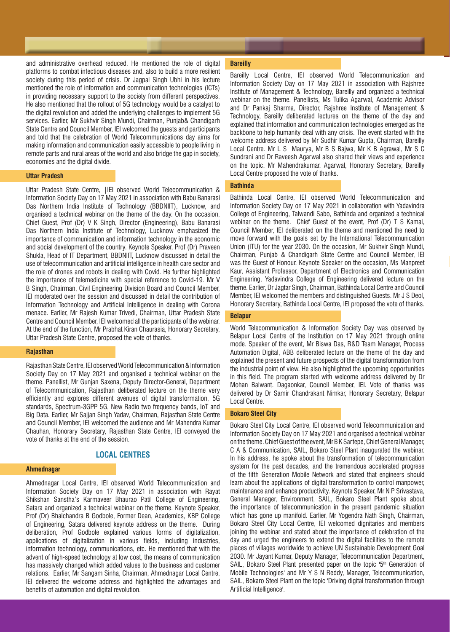and administrative overhead reduced. He mentioned the role of digital platforms to combat infectious diseases and, also to build a more resilient society during this period of crisis. Dr Jagpal Singh Ubhi in his lecture mentioned the role of information and communication technologies (ICTs) in providing necessary support to the society from different perspectives. He also mentioned that the rollout of 5G technology would be a catalyst to the digital revolution and added the underlying challenges to implement 5G services. Earlier, Mr Sukhvir Singh Mundi, Chairman, Punjab& Chandigarh State Centre and Council Member, IEI welcomed the guests and participants and told that the celebration of World Telecommunications day aims for making information and communication easily accessible to people living in remote parts and rural areas of the world and also bridge the gap in society, economies and the digital divide.

#### **Uttar Pradesh**

Uttar Pradesh State Centre, |IEI observed World Telecommunication & Information Society Day on 17 May 2021 in association with Babu Banarasi Das Northern India Institute of Technology (BBDNIIT), Lucknow, and organised a technical webinar on the theme of the day. On the occasion, Chief Guest, Prof (Dr) V K Singh, Director (Engineering), Babu Banarasi Das Northern India Institute of Technology, Lucknow emphasized the importance of communication and information technology in the economic and social development of the country. Keynote Speaker, Prof (Dr) Praveen Shukla, Head of IT Department, BBDNIIT, Lucknow discussed in detail the use of telecommunication and artificial intelligence in health care sector and the role of drones and robots in dealing with Covid. He further highlighted the importance of telemedicine with special reference to Covid-19. Mr V B Singh, Chairman, Civil Engineering Division Board and Council Member, IEI moderated over the session and discussed in detail the contribution of Information Technology and Artificial Intelligence in dealing with Corona menace. Earlier, Mr Rajesh Kumar Trivedi, Chairman, Uttar Pradesh State Centre and Council Member, IEI welcomed all the participants of the webinar. At the end of the function, Mr Prabhat Kiran Chaurasia, Honorary Secretary, Uttar Pradesh State Centre, proposed the vote of thanks.

#### **Rajasthan**

Rajasthan State Centre, IEI observed World Telecommunication & Information Society Day on 17 May 2021 and organised a technical webinar on the theme. Panellist, Mr Gunjan Saxena, Deputy Director-General, Department of Telecommunication, Rajasthan deliberated lecture on the theme very efficiently and explores different avenues of digital transformation, 5G standards, Spectrum-3GPP 5G, New Radio two frequency bands, IoT and Big Data. Earlier, Mr Sajjan Singh Yadav, Chairman, Rajasthan State Centre and Council Member, IEI welcomed the audience and Mr Mahendra Kumar Chauhan, Honorary Secretary, Rajasthan State Centre, IEI conveyed the vote of thanks at the end of the session.

# **LOCAL CENTRES**

#### **Ahmednagar**

Ahmednagar Local Centre, IEI observed World Telecommunication and Information Society Day on 17 May 2021 in association with Rayat Shikshan Sanstha's Karmaveer Bhaurao Patil College of Engineering, Satara and organized a technical webinar on the theme. Keynote Speaker, Prof (Dr) Bhalchandra B Godbole, Former Dean, Academics, KBP College of Engineering, Satara delivered keynote address on the theme. During deliberation, Prof Godbole explained various forms of digitalization, applications of digitalization in various fields, including industries, information technology, communications, etc. He mentioned that with the advent of high-speed technology at low cost, the means of communication has massively changed which added values to the business and customer relations. Earlier, Mr Sangam Sinha, Chairman, Ahmednagar Local Centre, IEI delivered the welcome address and highlighted the advantages and benefits of automation and digital revolution.

#### **Bareilly**

Bareilly Local Centre, IEI observed World Telecommunication and Information Society Day on 17 May 2021 in association with Rajshree Institute of Management & Technology, Bareilly and organized a technical webinar on the theme. Panellists, Ms Tulika Agarwal, Academic Advisor and Dr Pankaj Sharma, Director, Rajshree Institute of Management & Technology, Bareilly deliberated lectures on the theme of the day and explained that information and communication technologies emerged as the backbone to help humanity deal with any crisis. The event started with the welcome address delivered by Mr Sudhir Kumar Gupta, Chairman, Bareilly Local Centre. Mr L S Maurya, Mr B S Bajwa, Mr K B Agrawal, Mr S C Sundrani and Dr Raveesh Agarwal also shared their views and experience on the topic. Mr Mahendrakumar. Agarwal, Honorary Secretary, Bareilly Local Centre proposed the vote of thanks.

# **Bathinda**

Bathinda Local Centre, IEI observed World Telecommunication and Information Society Day on 17 May 2021 in collaboration with Yadavindra College of Engineering, Talwandi Sabo, Bathinda and organized a technical webinar on the theme. Chief Guest of the event, Prof (Dr) T S Kamal, Council Member, IEI deliberated on the theme and mentioned the need to move forward with the goals set by the International Telecommunication Union (ITU) for the year 2030. On the occasion, Mr Sukhvir Singh Mundi, Chairman, Punjab & Chandigarh State Centre and Council Member, IEI was the Guest of Honour. Keynote Speaker on the occasion, Ms Manpreet Kaur, Assistant Professor, Department of Electronics and Communication Engineering, Yadavindra College of Engineering delivered lecture on the theme. Earlier, Dr Jagtar Singh, Chairman, Bathinda Local Centre and Council Member, IEI welcomed the members and distinguished Guests. Mr J S Deol, Honorary Secretary, Bathinda Local Centre, IEI proposed the vote of thanks.

### **Belapur**

World Telecommunication & Information Society Day was observed by Belapur Local Centre of the Institution on 17 May 2021 through online mode. Speaker of the event, Mr Biswa Das, R&D Team Manager, Process Automation Digital, ABB deliberated lecture on the theme of the day and explained the present and future prospects of the digital transformation from the industrial point of view. He also highlighted the upcoming opportunities in this field. The program started with welcome address delivered by Dr Mohan Balwant. Dagaonkar, Council Member, IEI. Vote of thanks was delivered by Dr Samir Chandrakant Nimkar, Honorary Secretary, Belapur Local Centre.

#### **Bokaro Steel City**

Bokaro Steel City Local Centre, IEI observed world Telecommunication and Information Society Day on 17 May 2021 and organised a technical webinar on the theme. Chief Guest of the event, Mr B K Sartepe, Chief General Manager, C A & Communication, SAIL, Bokaro Steel Plant inaugurated the webinar. In his address, he spoke about the transformation of telecommunication system for the past decades, and the tremendous accelerated progress of the fifth Generation Mobile Network and stated that engineers should learn about the applications of digital transformation to control manpower, maintenance and enhance productivity. Keynote Speaker, Mr N P Srivastava, General Manager, Environment, SAIL, Bokaro Steel Plant spoke about the importance of telecommunication in the present pandemic situation which has gone up manifold. Earlier, Mr Yogendra Nath Singh, Chairman, Bokaro Steel City Local Centre, IEI welcomed dignitaries and members joining the webinar and stated about the importance of celebration of the day and urged the engineers to extend the digital facilities to the remote places of villages worldwide to achieve UN Sustainable Development Goal 2030. Mr Jayant Kumar, Deputy Manager, Telecommunication Department, SAIL, Bokaro Steel Plant presented paper on the topic '5<sup>th</sup> Generation of Mobile Technologies' and Mr Y S N Reddy, Manager, Telecommunication, SAIL, Bokaro Steel Plant on the topic 'Driving digital transformation through Artificial Intelligence'.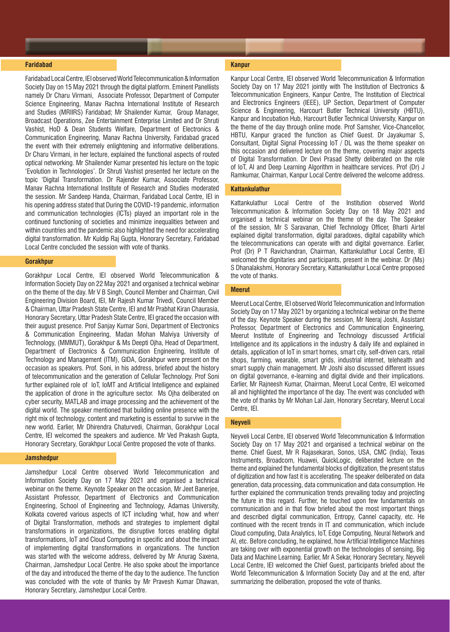#### **Faridabad**

Faridabad Local Centre, IEI observed World Telecommunication & Information Society Day on 15 May 2021 through the digital platform. Eminent Panellists namely Dr Charu Virmani, Associate Professor, Department of Computer Science Engineering, Manav Rachna International Institute of Research and Studies (MRIIRS) Faridabad; Mr Shailender Kumar, Group Manager, Broadcast Operations, Zee Entertainment Enterprise Limited and Dr Shruti Vashist, HoD & Dean Students Welfare, Department of Electronics & Communication Engineering, Manav Rachna University, Faridabad graced the event with their extremely enlightening and informative deliberations. Dr Charu Virmani, in her lecture, explained the functional aspects of routed optical networking. Mr Shailender Kumar presented his lecture on the topic 'Evolution in Technologies'. Dr Shruti Vashist presented her lecture on the topic 'Digital Transformation. Dr Rajender Kumar, Associate Professor, Manav Rachna International Institute of Research and Studies moderated the session. Mr Sandeep Handa, Chairman, Faridabad Local Centre, IEI in his opening address stated that During the COVID-19 pandemic, information and communication technologies (ICTs) played an important role in the continued functioning of societies and minimize inequalities between and within countries and the pandemic also highlighted the need for accelerating digital transformation. Mr Kuldip Raj Gupta, Honorary Secretary, Faridabad Local Centre concluded the session with vote of thanks.

# **Gorakhpur**

Gorakhpur Local Centre, IEI observed World Telecommunication & Information Society Day on 22 May 2021 and organised a technical webinar on the theme of the day. Mr V B Singh, Council Member and Chairman, Civil Engineering Division Board, IEI, Mr Rajesh Kumar Trivedi, Council Member & Chairman, Uttar Pradesh State Centre, IEI and Mr Prabhat Kiran Chaurasia, Honorary Secretary, Uttar Pradesh State Centre, IEI graced the occasion with their august presence. Prof Sanjay Kumar Soni, Department of Electronics & Communication Engineering, Madan Mohan Malviya University of Technology, (MMMUT), Gorakhpur & Ms Deepti Ojha, Head of Department, Department of Electronics & Communication Engineering, Institute of Technology and Management (ITM), GIDA, Gorakhpur were present on the occasion as speakers. Prof. Soni, in his address, briefed about the history of telecommunication and the generation of Cellular Technology. Prof Soni further explained role of IoT, IoMT and Artificial Intelligence and explained the application of drone in the agriculture sector. Ms Ojha deliberated on cyber security, MATLAB and image processing and the achievement of the digital world. The speaker mentioned that building online presence with the right mix of technology, content and marketing is essential to survive in the new world. Earlier, Mr Dhirendra Chaturvedi, Chairman, Gorakhpur Local Centre, IEI welcomed the speakers and audience. Mr Ved Prakash Gupta, Honorary Secretary, Gorakhpur Local Centre proposed the vote of thanks.

#### **Jamshedpur**

Jamshedpur Local Centre observed World Telecommunication and Information Society Day on 17 May 2021 and organised a technical webinar on the theme. Keynote Speaker on the occasion, Mr Jeet Banerjee, Assistant Professor, Department of Electronics and Communication Engineering, School of Engineering and Technology, Adamas University, Kolkata covered various aspects of ICT including 'what, how and when' of Digital Transformation, methods and strategies to implement digital transformations in organizations, the disruptive forces enabling digital transformations, IoT and Cloud Computing in specific and about the impact of implementing digital transformations in organizations. The function was started with the welcome address, delivered by Mr Anurag Saxena, Chairman, Jamshedpur Local Centre. He also spoke about the importance of the day and introduced the theme of the day to the audience. The function was concluded with the vote of thanks by Mr Pravesh Kumar Dhawan, Honorary Secretary, Jamshedpur Local Centre.

#### **Kanpur**

Kanpur Local Centre, IEI observed World Telecommunication & Information Society Day on 17 May 2021 jointly with The Institution of Electronics & Telecommunication Engineers, Kanpur Centre, The Institution of Electrical and Electronics Engineers (IEEE), UP Section, Department of Computer Science & Engineering, Harcourt Butler Technical University (HBTU), Kanpur and Incubation Hub, Harcourt Butler Technical University, Kanpur on the theme of the day through online mode. Prof Samsher, Vice-Chancellor, HBTU, Kanpur graced the function as Chief Guest. Dr Jayakumar S, Consultant, Digital Signal Processing IoT / DL was the theme speaker on this occasion and delivered lecture on the theme, covering major aspects of Digital Transformation. Dr Devi Prasad Shetty deliberated on the role of IoT, AI and Deep Learning Algorithm in healthcare services. Prof (Dr) J Ramkumar, Chairman, Kanpur Local Centre delivered the welcome address.

#### **Kattankulathur**

Kattankulathur Local Centre of the Institution observed World Telecommunication & Information Society Day on 18 May 2021 and organised a technical webinar on the theme of the day. The Speaker of the session, Mr S Saravanan, Chief Technology Officer, Bharti Airtel explained digital transformation, digital paradoxes, digital capability which the telecommunications can operate with and digital governance. Earlier, Prof (Dr) P T Ravichandran, Chairman, Kattankulathur Local Centre, IEI welcomed the dignitaries and participants, present in the webinar. Dr (Ms) S Dhanalakshmi, Honorary Secretary, Kattankulathur Local Centre proposed the vote of thanks.

### **Meerut**

Meerut Local Centre, IEI observed World Telecommunication and Information Society Day on 17 May 2021 by organizing a technical webinar on the theme of the day. Keynote Speaker during the session, Mr Neeraj Joshi, Assistant Professor, Department of Electronics and Communication Engineering, Meerut Institute of Engineering and Technology discussed Artificial Intelligence and its applications in the industry & daily life and explained in details, application of IoT in smart homes, smart city, self-driven cars, retail shops, farming, wearable, smart grids, industrial internet, telehealth and smart supply chain management. Mr Joshi also discussed different issues on digital governance, e-learning and digital divide and their implications. Earlier, Mr Rajneesh Kumar, Chairman, Meerut Local Centre, IEI welcomed all and highlighted the importance of the day. The event was concluded with the vote of thanks by Mr Mohan Lal Jain, Honorary Secretary, Meerut Local Centre, IEI.

#### **Neyveli**

Neyveli Local Centre, IEI observed World Telecommunication & Information Society Day on 17 May 2021 and organised a technical webinar on the theme. Chief Guest, Mr R Rajasekaran, Sonos, USA, CMC (India), Texas Instruments, Broadcom, Huawei, QuickLogic, deliberated lecture on the theme and explained the fundamental blocks of digitization, the present status of digitization and how fast it is accelerating. The speaker deliberated on data generation, data processing, data communication and data consumption. He further explained the communication trends prevailing today and projecting the future in this regard. Further, he touched upon few fundamentals on communication and in that flow briefed about the most important things and described digital communication, Entropy, Cannel capacity, etc. He continued with the recent trends in IT and communication, which include Cloud computing, Data Analytics, IoT, Edge Computing, Neural Network and AI, etc. Before concluding, he explained, how Artificial Intelligence Machines are taking over with exponential growth on the technologies of sensing, Big Data and Machine Learning. Earlier, Mr A Sekar, Honorary Secretary, Neyveli Local Centre, IEI welcomed the Chief Guest, participants briefed about the World Telecommunication & Information Society Day and at the end, after summarizing the deliberation, proposed the vote of thanks.